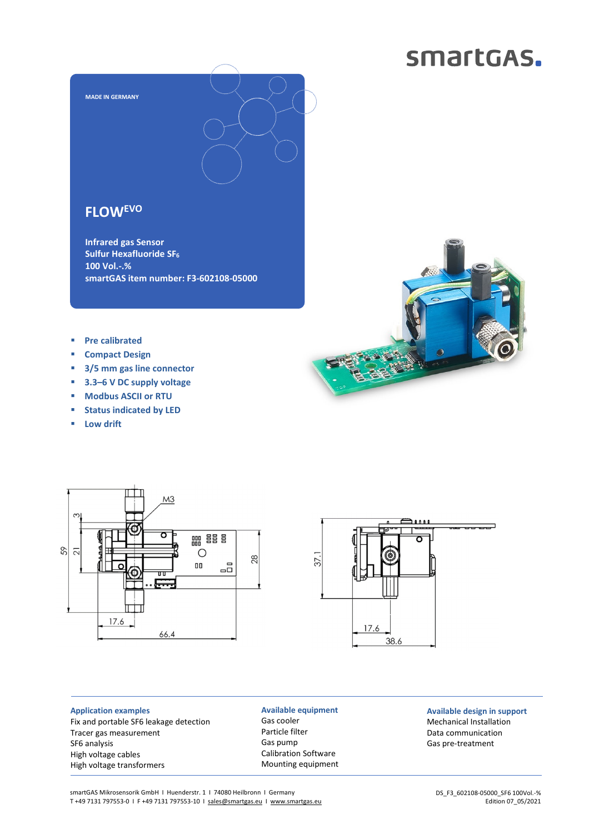# smartGAS.



### **FLOWEVO**

**Infrared gas Sensor Sulfur Hexafluoride SF<sup>6</sup> 100 Vol.-.% smartGAS item number: F3-602108-05000** 

- **Pre calibrated**
- **Compact Design**
- **3/5 mm gas line connector**
- **3.3–6 V DC supply voltage**
- **Modbus ASCII or RTU**
- **status indicated by LED**
- **Low drift**





**Application examples**  Fix and portable SF6 leakage detection Tracer gas measurement SF6 analysis High voltage cables High voltage transformers

**Available equipment**  Gas cooler Particle filter Gas pump Calibration Software Mounting equipment

### **Available design in support**  Mechanical Installation Data communication Gas pre-treatment